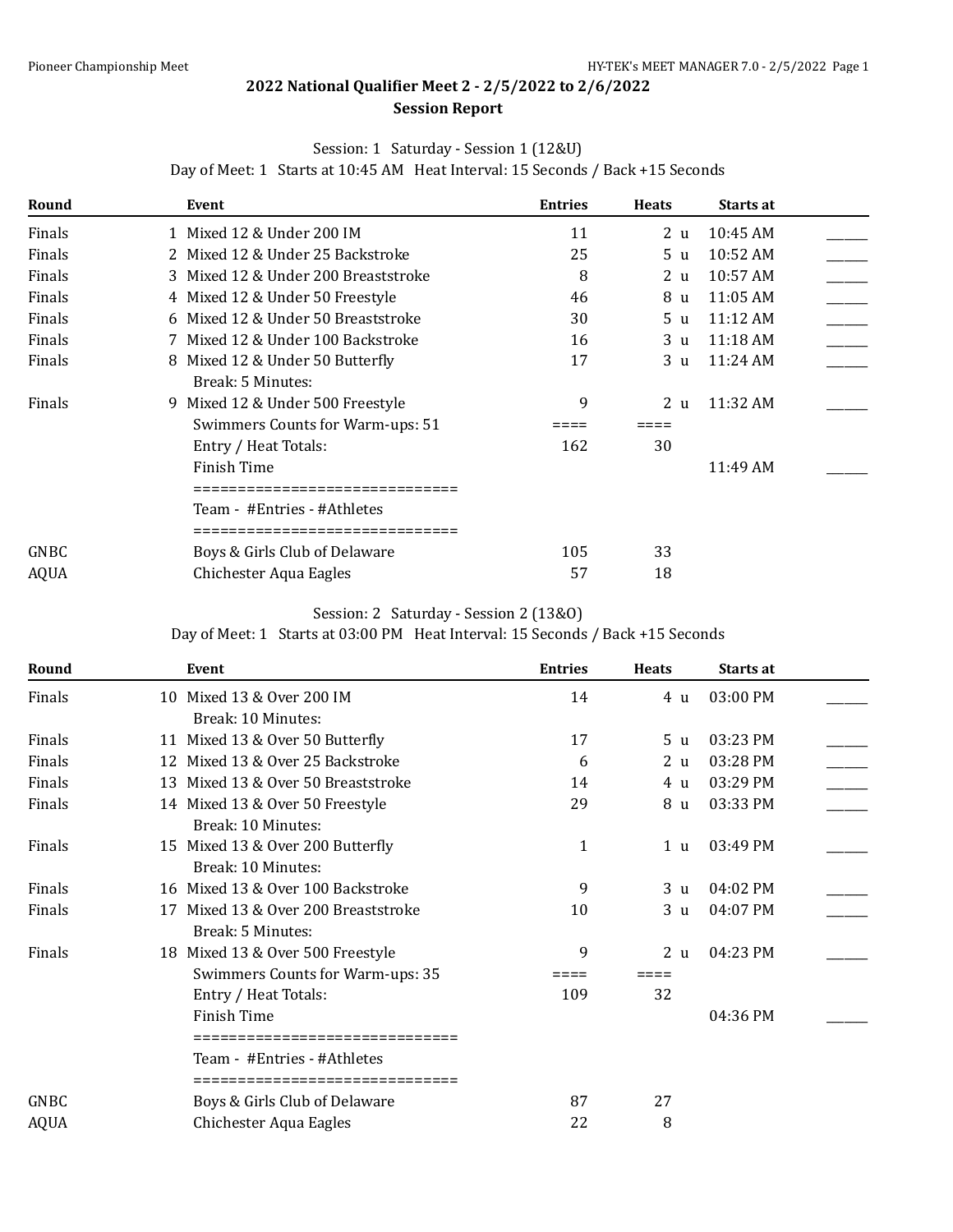## **2022 National Qualifier Meet 2 - 2/5/2022 to 2/6/2022**

### **Session Report**

### Session: 1 Saturday - Session 1 (12&U)

Day of Meet: 1 Starts at 10:45 AM Heat Interval: 15 Seconds / Back +15 Seconds

| Round       | Event                                                                                     | <b>Entries</b> | <b>Heats</b>   | Starts at          |  |
|-------------|-------------------------------------------------------------------------------------------|----------------|----------------|--------------------|--|
| Finals      | 1 Mixed 12 & Under 200 IM                                                                 | 11             | 2 <sub>u</sub> | 10:45 AM           |  |
| Finals      | 2 Mixed 12 & Under 25 Backstroke                                                          | 25             | 5 u            | $10:52 \text{ AM}$ |  |
| Finals      | 3 Mixed 12 & Under 200 Breaststroke                                                       | 8              | 2 u            | 10:57 AM           |  |
| Finals      | 4 Mixed 12 & Under 50 Freestyle                                                           | 46             | 8 u            | $11:05$ AM         |  |
| Finals      | 6 Mixed 12 & Under 50 Breaststroke                                                        | 30             | 5 u            | 11:12 AM           |  |
| Finals      | 7 Mixed 12 & Under 100 Backstroke                                                         | 16             | 3 u            | $11:18$ AM         |  |
| Finals      | Mixed 12 & Under 50 Butterfly<br>8.                                                       | 17             | 3 <sub>u</sub> | 11:24 AM           |  |
| Finals      | Break: 5 Minutes:<br>9 Mixed 12 & Under 500 Freestyle<br>Swimmers Counts for Warm-ups: 51 | 9              | 2 <sub>u</sub> | 11:32 AM           |  |
|             | Entry / Heat Totals:                                                                      | 162            | 30             |                    |  |
|             | <b>Finish Time</b>                                                                        |                |                | 11:49 AM           |  |
|             | Team - #Entries - #Athletes                                                               |                |                |                    |  |
| GNBC        | Boys & Girls Club of Delaware                                                             | 105            | 33             |                    |  |
| <b>AQUA</b> | Chichester Aqua Eagles                                                                    | 57             | 18             |                    |  |

### Session: 2 Saturday - Session 2 (13&O)

Day of Meet: 1 Starts at 03:00 PM Heat Interval: 15 Seconds / Back +15 Seconds

| Round       |    | Event                                                     | <b>Entries</b> | <b>Heats</b>   | Starts at  |  |
|-------------|----|-----------------------------------------------------------|----------------|----------------|------------|--|
| Finals      |    | 10 Mixed 13 & Over 200 IM                                 | 14             | 4 u            | 03:00 PM   |  |
|             |    | Break: 10 Minutes:                                        |                |                |            |  |
| Finals      |    | 11 Mixed 13 & Over 50 Butterfly                           | 17             | 5 <sub>u</sub> | 03:23 PM   |  |
| Finals      |    | 12 Mixed 13 & Over 25 Backstroke                          | 6              | 2 <sub>u</sub> | 03:28 PM   |  |
| Finals      |    | 13 Mixed 13 & Over 50 Breaststroke                        | 14             | 4 u            | 03:29 PM   |  |
| Finals      |    | 14 Mixed 13 & Over 50 Freestyle                           | 29             | 8 u            | 03:33 PM   |  |
|             |    | Break: 10 Minutes:                                        |                |                |            |  |
| Finals      |    | 15 Mixed 13 & Over 200 Butterfly                          | 1              | 1 u            | 03:49 PM   |  |
|             |    | Break: 10 Minutes:                                        |                |                |            |  |
| Finals      |    | 16 Mixed 13 & Over 100 Backstroke                         | 9              | 3 <sub>u</sub> | $04:02$ PM |  |
| Finals      | 17 | Mixed 13 & Over 200 Breaststroke                          | 10             | 3 <sub>u</sub> | 04:07 PM   |  |
|             |    | Break: 5 Minutes:                                         |                |                |            |  |
| Finals      |    | 18 Mixed 13 & Over 500 Freestyle                          | 9              | 2 <sub>u</sub> | 04:23 PM   |  |
|             |    | Swimmers Counts for Warm-ups: 35                          |                |                |            |  |
|             |    | Entry / Heat Totals:                                      | 109            | 32             |            |  |
|             |    | Finish Time                                               |                |                | 04:36 PM   |  |
|             |    | =============================                             |                |                |            |  |
|             |    | Team - #Entries - #Athletes<br>========================== |                |                |            |  |
| GNBC        |    | Boys & Girls Club of Delaware                             | 87             | 27             |            |  |
| <b>AQUA</b> |    | Chichester Aqua Eagles                                    | 22             | 8              |            |  |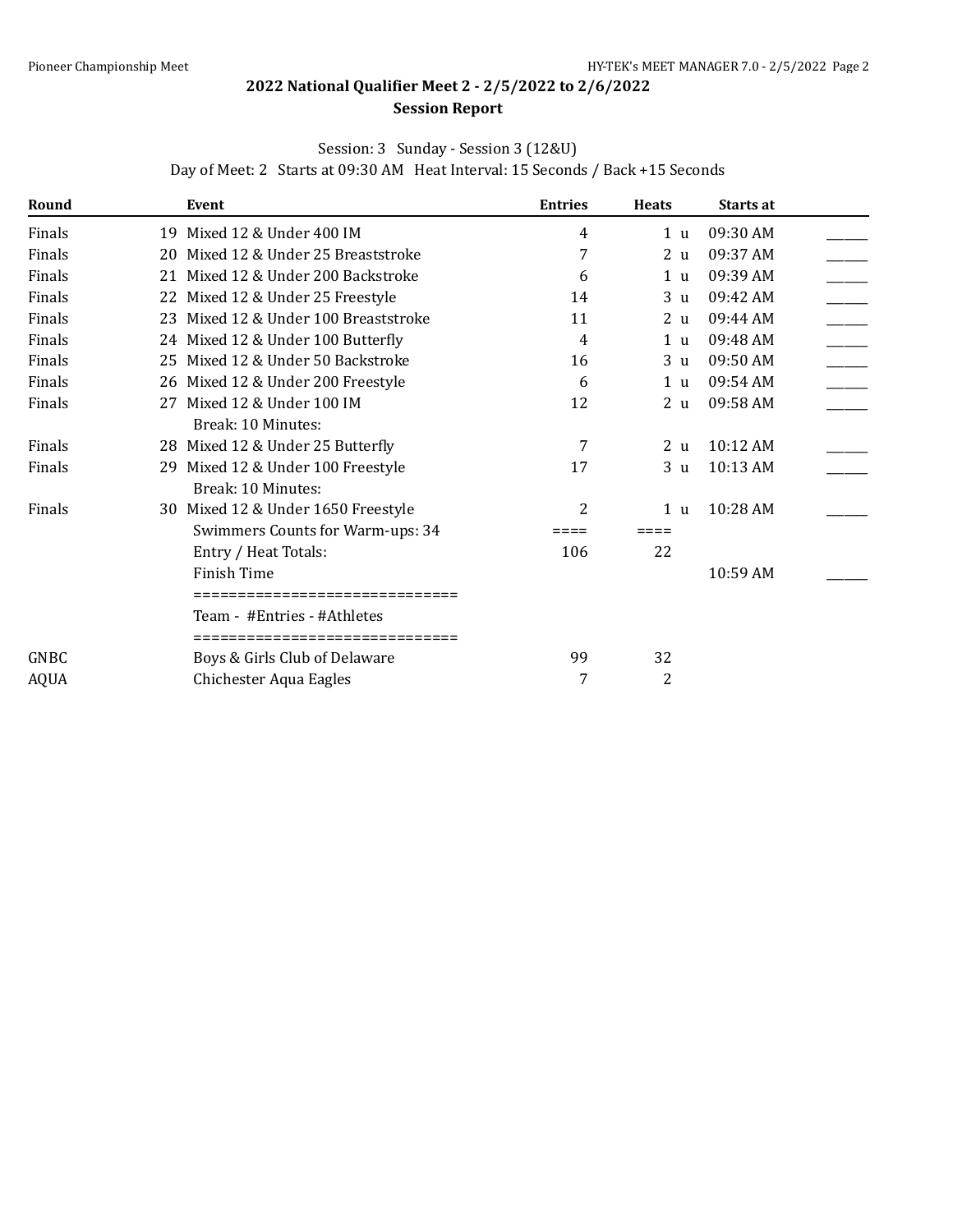# **2022 National Qualifier Meet 2 - 2/5/2022 to 2/6/2022**

### **Session Report**

### Session: 3 Sunday - Session 3 (12&U)

Day of Meet: 2 Starts at 09:30 AM Heat Interval: 15 Seconds / Back +15 Seconds

| Round       |    | Event                                | <b>Entries</b> | <b>Heats</b>   | Starts at |  |
|-------------|----|--------------------------------------|----------------|----------------|-----------|--|
| Finals      |    | 19 Mixed 12 & Under 400 IM           | 4              | 1 <sub>u</sub> | 09:30 AM  |  |
| Finals      |    | 20 Mixed 12 & Under 25 Breaststroke  | 7              | 2 <sub>u</sub> | 09:37 AM  |  |
| Finals      |    | 21 Mixed 12 & Under 200 Backstroke   | 6              | 1 <sub>u</sub> | 09:39 AM  |  |
| Finals      |    | 22 Mixed 12 & Under 25 Freestyle     | 14             | 3 <sub>u</sub> | 09:42 AM  |  |
| Finals      |    | 23 Mixed 12 & Under 100 Breaststroke | 11             | 2 <sub>u</sub> | 09:44 AM  |  |
| Finals      |    | 24 Mixed 12 & Under 100 Butterfly    | 4              | 1 <sub>u</sub> | 09:48 AM  |  |
| Finals      |    | 25 Mixed 12 & Under 50 Backstroke    | 16             | 3 <sub>u</sub> | 09:50 AM  |  |
| Finals      |    | 26 Mixed 12 & Under 200 Freestyle    | 6              | 1 <sub>u</sub> | 09:54 AM  |  |
| Finals      |    | 27 Mixed 12 & Under 100 IM           | 12             | 2 <sub>u</sub> | 09:58 AM  |  |
|             |    | Break: 10 Minutes:                   |                |                |           |  |
| Finals      |    | 28 Mixed 12 & Under 25 Butterfly     | 7              | 2 <sub>u</sub> | 10:12 AM  |  |
| Finals      | 29 | Mixed 12 & Under 100 Freestyle       | 17             | 3 <sub>u</sub> | 10:13 AM  |  |
|             |    | Break: 10 Minutes:                   |                |                |           |  |
| Finals      |    | 30 Mixed 12 & Under 1650 Freestyle   | 2              | 1 <sub>u</sub> | 10:28 AM  |  |
|             |    | Swimmers Counts for Warm-ups: 34     | ====           | ====           |           |  |
|             |    | Entry / Heat Totals:                 | 106            | 22             |           |  |
|             |    | Finish Time                          |                |                | 10:59 AM  |  |
|             |    | ======================               |                |                |           |  |
|             |    | Team - #Entries - #Athletes          |                |                |           |  |
|             |    | =============================        |                |                |           |  |
| GNBC        |    | Boys & Girls Club of Delaware        | 99             | 32             |           |  |
| <b>AQUA</b> |    | Chichester Aqua Eagles               | 7              | 2              |           |  |